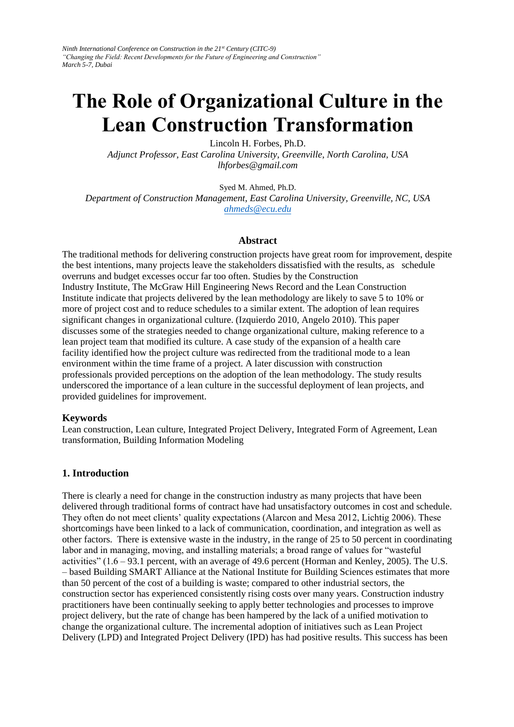*Ninth International Conference on Construction in the 21st Century (CITC-9) "Changing the Field: Recent Developments for the Future of Engineering and Construction" March 5-7, Dubai* 

# **The Role of Organizational Culture in the Lean Construction Transformation**

Lincoln H. Forbes, Ph.D.

*Adjunct Professor, East Carolina University, Greenville, North Carolina, USA lhforbes@gmail.com*

Syed M. Ahmed, Ph.D.

*Department of Construction Management, East Carolina University, Greenville, NC, USA ahmeds@ecu.edu*

#### **Abstract**

The traditional methods for delivering construction projects have great room for improvement, despite the best intentions, many projects leave the stakeholders dissatisfied with the results, as schedule overruns and budget excesses occur far too often. Studies by the Construction Industry Institute, The McGraw Hill Engineering News Record and the Lean Construction Institute indicate that projects delivered by the lean methodology are likely to save 5 to 10% or more of project cost and to reduce schedules to a similar extent. The adoption of lean requires significant changes in organizational culture. (Izquierdo 2010, Angelo 2010). This paper discusses some of the strategies needed to change organizational culture, making reference to a lean project team that modified its culture. A case study of the expansion of a health care facility identified how the project culture was redirected from the traditional mode to a lean environment within the time frame of a project. A later discussion with construction professionals provided perceptions on the adoption of the lean methodology. The study results underscored the importance of a lean culture in the successful deployment of lean projects, and provided guidelines for improvement.

#### **Keywords**

Lean construction, Lean culture, Integrated Project Delivery, Integrated Form of Agreement, Lean transformation, Building Information Modeling

#### **1. Introduction**

There is clearly a need for change in the construction industry as many projects that have been delivered through traditional forms of contract have had unsatisfactory outcomes in cost and schedule. They often do not meet clients' quality expectations (Alarcon and Mesa 2012, Lichtig 2006). These shortcomings have been linked to a lack of communication, coordination, and integration as well as other factors. There is extensive waste in the industry, in the range of 25 to 50 percent in coordinating labor and in managing, moving, and installing materials; a broad range of values for "wasteful activities" (1.6 – 93.1 percent, with an average of 49.6 percent (Horman and Kenley, 2005). The U.S. – based Building SMART Alliance at the National Institute for Building Sciences estimates that more than 50 percent of the cost of a building is waste; compared to other industrial sectors, the construction sector has experienced consistently rising costs over many years. Construction industry practitioners have been continually seeking to apply better technologies and processes to improve project delivery, but the rate of change has been hampered by the lack of a unified motivation to change the organizational culture. The incremental adoption of initiatives such as Lean Project Delivery (LPD) and Integrated Project Delivery (IPD) has had positive results. This success has been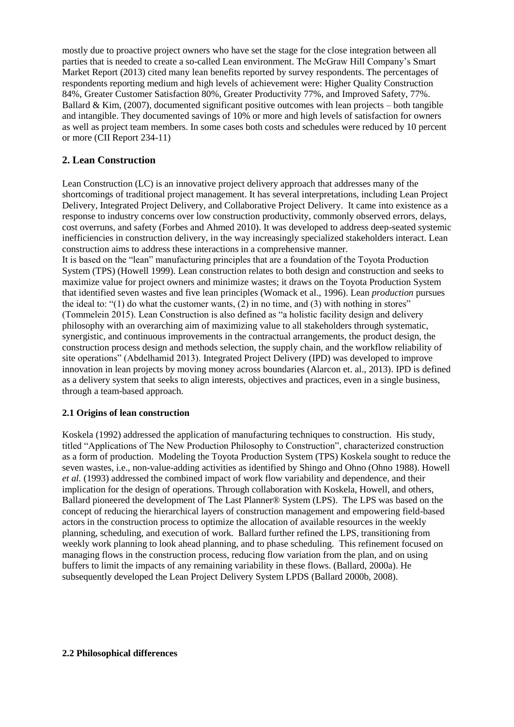mostly due to proactive project owners who have set the stage for the close integration between all parties that is needed to create a so-called Lean environment. The McGraw Hill Company's Smart Market Report (2013) cited many lean benefits reported by survey respondents. The percentages of respondents reporting medium and high levels of achievement were: Higher Quality Construction 84%, Greater Customer Satisfaction 80%, Greater Productivity 77%, and Improved Safety, 77%. Ballard & Kim,  $(2007)$ , documented significant positive outcomes with lean projects – both tangible and intangible. They documented savings of 10% or more and high levels of satisfaction for owners as well as project team members. In some cases both costs and schedules were reduced by 10 percent or more (CII Report 234-11)

## **2. Lean Construction**

Lean Construction (LC) is an innovative project delivery approach that addresses many of the shortcomings of traditional project management. It has several interpretations, including Lean Project Delivery, Integrated Project Delivery, and Collaborative Project Delivery. It came into existence as a response to industry concerns over low construction productivity, commonly observed errors, delays, cost overruns, and safety (Forbes and Ahmed 2010). It was developed to address deep-seated systemic inefficiencies in construction delivery, in the way increasingly specialized stakeholders interact. Lean construction aims to address these interactions in a comprehensive manner.

It is based on the "lean" manufacturing principles that are a foundation of the Toyota Production System (TPS) (Howell 1999). Lean construction relates to both design and construction and seeks to maximize value for project owners and minimize wastes; it draws on the Toyota Production System that identified seven wastes and five lean principles (Womack et al., 1996). Lean *production* pursues the ideal to: "(1) do what the customer wants, (2) in no time, and (3) with nothing in stores" (Tommelein 2015). Lean Construction is also defined as "a holistic facility design and delivery philosophy with an overarching aim of maximizing value to all stakeholders through systematic, synergistic, and continuous improvements in the contractual arrangements, the product design, the construction process design and methods selection, the supply chain, and the workflow reliability of site operations" (Abdelhamid 2013). Integrated Project Delivery (IPD) was developed to improve innovation in lean projects by moving money across boundaries (Alarcon et. al., 2013). IPD is defined as a delivery system that seeks to align interests, objectives and practices, even in a single business, through a team-based approach.

#### **2.1 Origins of lean construction**

Koskela (1992) addressed the application of manufacturing techniques to construction. His study, titled "Applications of The New Production Philosophy to Construction", characterized construction as a form of production. Modeling the Toyota Production System (TPS) Koskela sought to reduce the seven wastes, i.e., non-value-adding activities as identified by Shingo and Ohno (Ohno 1988). Howell *et al.* (1993) addressed the combined impact of work flow variability and dependence, and their implication for the design of operations. Through collaboration with Koskela, Howell, and others, Ballard pioneered the development of The Last Planner® System (LPS). The LPS was based on the concept of reducing the hierarchical layers of construction management and empowering field-based actors in the construction process to optimize the allocation of available resources in the weekly planning, scheduling, and execution of work. Ballard further refined the LPS, transitioning from weekly work planning to look ahead planning, and to phase scheduling. This refinement focused on managing flows in the construction process, reducing flow variation from the plan, and on using buffers to limit the impacts of any remaining variability in these flows. (Ballard, 2000a). He subsequently developed the Lean Project Delivery System LPDS (Ballard 2000b, 2008).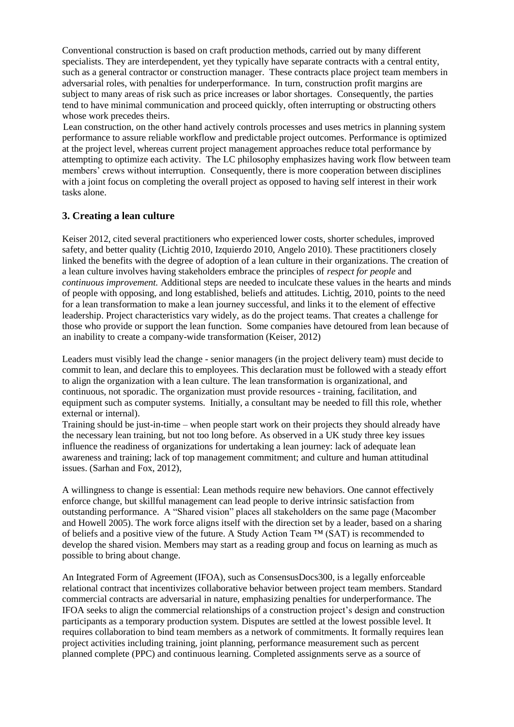Conventional construction is based on craft production methods, carried out by many different specialists. They are interdependent, yet they typically have separate contracts with a central entity, such as a general contractor or construction manager. These contracts place project team members in adversarial roles, with penalties for underperformance. In turn, construction profit margins are subject to many areas of risk such as price increases or labor shortages. Consequently, the parties tend to have minimal communication and proceed quickly, often interrupting or obstructing others whose work precedes theirs.

 Lean construction, on the other hand actively controls processes and uses metrics in planning system performance to assure reliable workflow and predictable project outcomes. Performance is optimized at the project level, whereas current project management approaches reduce total performance by attempting to optimize each activity. The LC philosophy emphasizes having work flow between team members' crews without interruption. Consequently, there is more cooperation between disciplines with a joint focus on completing the overall project as opposed to having self interest in their work tasks alone.

## **3. Creating a lean culture**

Keiser 2012, cited several practitioners who experienced lower costs, shorter schedules, improved safety, and better quality (Lichtig 2010, Izquierdo 2010, Angelo 2010). These practitioners closely linked the benefits with the degree of adoption of a lean culture in their organizations. The creation of a lean culture involves having stakeholders embrace the principles of *respect for people* and *continuous improvement.* Additional steps are needed to inculcate these values in the hearts and minds of people with opposing, and long established, beliefs and attitudes. Lichtig, 2010, points to the need for a lean transformation to make a lean journey successful, and links it to the element of effective leadership. Project characteristics vary widely, as do the project teams. That creates a challenge for those who provide or support the lean function. Some companies have detoured from lean because of an inability to create a company-wide transformation (Keiser, 2012)

Leaders must visibly lead the change - senior managers (in the project delivery team) must decide to commit to lean, and declare this to employees. This declaration must be followed with a steady effort to align the organization with a lean culture. The lean transformation is organizational, and continuous, not sporadic. The organization must provide resources - training, facilitation, and equipment such as computer systems. Initially, a consultant may be needed to fill this role, whether external or internal).

Training should be just-in-time – when people start work on their projects they should already have the necessary lean training, but not too long before. As observed in a UK study three key issues influence the readiness of organizations for undertaking a lean journey: lack of adequate lean awareness and training; lack of top management commitment; and culture and human attitudinal issues. (Sarhan and Fox, 2012),

A willingness to change is essential: Lean methods require new behaviors. One cannot effectively enforce change, but skillful management can lead people to derive intrinsic satisfaction from outstanding performance. A "Shared vision" places all stakeholders on the same page (Macomber and Howell 2005). The work force aligns itself with the direction set by a leader, based on a sharing of beliefs and a positive view of the future. A Study Action Team ™ (SAT) is recommended to develop the shared vision. Members may start as a reading group and focus on learning as much as possible to bring about change.

An Integrated Form of Agreement (IFOA), such as ConsensusDocs300, is a legally enforceable relational contract that incentivizes collaborative behavior between project team members. Standard commercial contracts are adversarial in nature, emphasizing penalties for underperformance. The IFOA seeks to align the commercial relationships of a construction project's design and construction participants as a temporary production system. Disputes are settled at the lowest possible level. It requires collaboration to bind team members as a network of commitments. It formally requires lean project activities including training, joint planning, performance measurement such as percent planned complete (PPC) and continuous learning. Completed assignments serve as a source of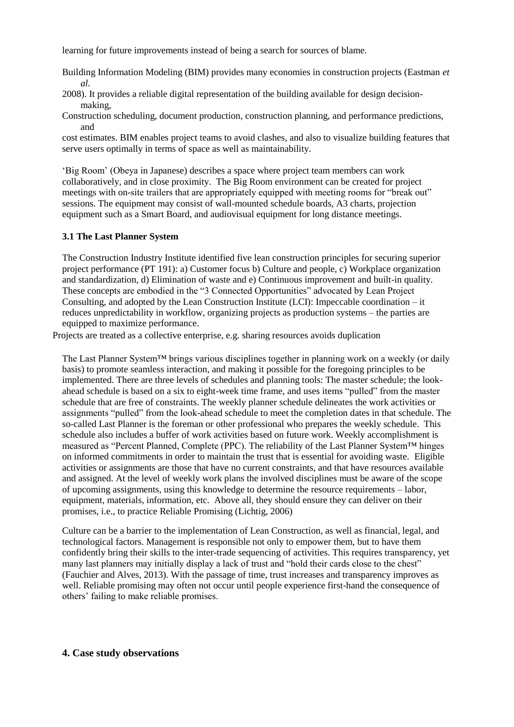learning for future improvements instead of being a search for sources of blame.

Building Information Modeling (BIM) provides many economies in construction projects (Eastman *et al.*

2008). It provides a reliable digital representation of the building available for design decisionmaking,

Construction scheduling, document production, construction planning, and performance predictions, and

cost estimates. BIM enables project teams to avoid clashes, and also to visualize building features that serve users optimally in terms of space as well as maintainability.

'Big Room' (Obeya in Japanese) describes a space where project team members can work collaboratively, and in close proximity. The Big Room environment can be created for project meetings with on-site trailers that are appropriately equipped with meeting rooms for "break out" sessions. The equipment may consist of wall-mounted schedule boards, A3 charts, projection equipment such as a Smart Board, and audiovisual equipment for long distance meetings.

#### **3.1 The Last Planner System**

The Construction Industry Institute identified five lean construction principles for securing superior project performance (PT 191): a) Customer focus b) Culture and people, c) Workplace organization and standardization, d) Elimination of waste and e) Continuous improvement and built-in quality. These concepts are embodied in the "3 Connected Opportunities" advocated by Lean Project Consulting, and adopted by the Lean Construction Institute (LCI): Impeccable coordination – it reduces unpredictability in workflow, organizing projects as production systems – the parties are equipped to maximize performance.

Projects are treated as a collective enterprise, e.g. sharing resources avoids duplication

The Last Planner System™ brings various disciplines together in planning work on a weekly (or daily basis) to promote seamless interaction, and making it possible for the foregoing principles to be implemented. There are three levels of schedules and planning tools: The master schedule; the lookahead schedule is based on a six to eight-week time frame, and uses items "pulled" from the master schedule that are free of constraints. The weekly planner schedule delineates the work activities or assignments "pulled" from the look-ahead schedule to meet the completion dates in that schedule. The so-called Last Planner is the foreman or other professional who prepares the weekly schedule. This schedule also includes a buffer of work activities based on future work. Weekly accomplishment is measured as "Percent Planned, Complete (PPC). The reliability of the Last Planner System™ hinges on informed commitments in order to maintain the trust that is essential for avoiding waste. Eligible activities or assignments are those that have no current constraints, and that have resources available and assigned. At the level of weekly work plans the involved disciplines must be aware of the scope of upcoming assignments, using this knowledge to determine the resource requirements – labor, equipment, materials, information, etc. Above all, they should ensure they can deliver on their promises, i.e., to practice Reliable Promising (Lichtig, 2006)

Culture can be a barrier to the implementation of Lean Construction, as well as financial, legal, and technological factors. Management is responsible not only to empower them, but to have them confidently bring their skills to the inter-trade sequencing of activities. This requires transparency, yet many last planners may initially display a lack of trust and "hold their cards close to the chest" (Fauchier and Alves, 2013). With the passage of time, trust increases and transparency improves as well. Reliable promising may often not occur until people experience first-hand the consequence of others' failing to make reliable promises.

#### **4. Case study observations**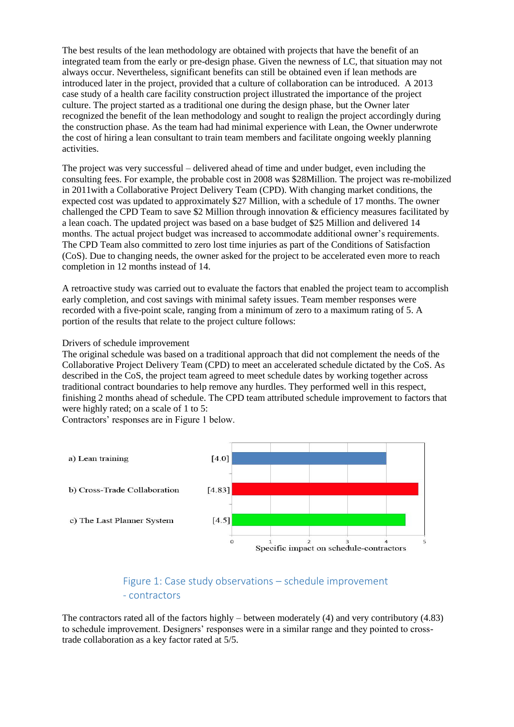The best results of the lean methodology are obtained with projects that have the benefit of an integrated team from the early or pre-design phase. Given the newness of LC, that situation may not always occur. Nevertheless, significant benefits can still be obtained even if lean methods are introduced later in the project, provided that a culture of collaboration can be introduced. A 2013 case study of a health care facility construction project illustrated the importance of the project culture. The project started as a traditional one during the design phase, but the Owner later recognized the benefit of the lean methodology and sought to realign the project accordingly during the construction phase. As the team had had minimal experience with Lean, the Owner underwrote the cost of hiring a lean consultant to train team members and facilitate ongoing weekly planning activities.

The project was very successful – delivered ahead of time and under budget, even including the consulting fees. For example, the probable cost in 2008 was \$28Million. The project was re-mobilized in 2011with a Collaborative Project Delivery Team (CPD). With changing market conditions, the expected cost was updated to approximately \$27 Million, with a schedule of 17 months. The owner challenged the CPD Team to save \$2 Million through innovation & efficiency measures facilitated by a lean coach. The updated project was based on a base budget of \$25 Million and delivered 14 months. The actual project budget was increased to accommodate additional owner's requirements. The CPD Team also committed to zero lost time injuries as part of the Conditions of Satisfaction (CoS). Due to changing needs, the owner asked for the project to be accelerated even more to reach completion in 12 months instead of 14.

A retroactive study was carried out to evaluate the factors that enabled the project team to accomplish early completion, and cost savings with minimal safety issues. Team member responses were recorded with a five-point scale, ranging from a minimum of zero to a maximum rating of 5. A portion of the results that relate to the project culture follows:

#### Drivers of schedule improvement

The original schedule was based on a traditional approach that did not complement the needs of the Collaborative Project Delivery Team (CPD) to meet an accelerated schedule dictated by the CoS. As described in the CoS, the project team agreed to meet schedule dates by working together across traditional contract boundaries to help remove any hurdles. They performed well in this respect, finishing 2 months ahead of schedule. The CPD team attributed schedule improvement to factors that were highly rated; on a scale of 1 to 5:

Contractors' responses are in Figure 1 below.



# Figure 1: Case study observations – schedule improvement - contractors

The contractors rated all of the factors highly – between moderately (4) and very contributory (4.83) to schedule improvement. Designers' responses were in a similar range and they pointed to crosstrade collaboration as a key factor rated at 5/5.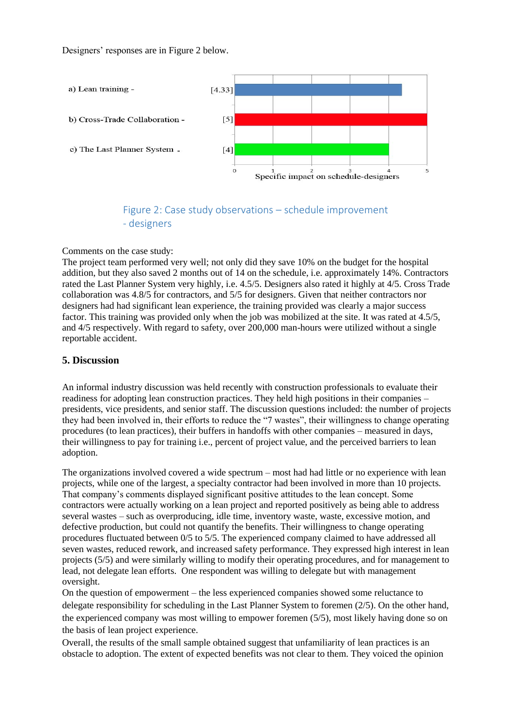Designers' responses are in Figure 2 below.



# Figure 2: Case study observations – schedule improvement - designers

#### Comments on the case study:

The project team performed very well; not only did they save 10% on the budget for the hospital addition, but they also saved 2 months out of 14 on the schedule, i.e. approximately 14%. Contractors rated the Last Planner System very highly, i.e. 4.5/5. Designers also rated it highly at 4/5. Cross Trade collaboration was 4.8/5 for contractors, and 5/5 for designers. Given that neither contractors nor designers had had significant lean experience, the training provided was clearly a major success factor. This training was provided only when the job was mobilized at the site. It was rated at 4.5/5, and 4/5 respectively. With regard to safety, over 200,000 man-hours were utilized without a single reportable accident.

#### **5. Discussion**

An informal industry discussion was held recently with construction professionals to evaluate their readiness for adopting lean construction practices. They held high positions in their companies – presidents, vice presidents, and senior staff. The discussion questions included: the number of projects they had been involved in, their efforts to reduce the "7 wastes", their willingness to change operating procedures (to lean practices), their buffers in handoffs with other companies – measured in days, their willingness to pay for training i.e., percent of project value, and the perceived barriers to lean adoption.

The organizations involved covered a wide spectrum – most had had little or no experience with lean projects, while one of the largest, a specialty contractor had been involved in more than 10 projects. That company's comments displayed significant positive attitudes to the lean concept. Some contractors were actually working on a lean project and reported positively as being able to address several wastes – such as overproducing, idle time, inventory waste, waste, excessive motion, and defective production, but could not quantify the benefits. Their willingness to change operating procedures fluctuated between 0/5 to 5/5. The experienced company claimed to have addressed all seven wastes, reduced rework, and increased safety performance. They expressed high interest in lean projects (5/5) and were similarly willing to modify their operating procedures, and for management to lead, not delegate lean efforts. One respondent was willing to delegate but with management oversight.

On the question of empowerment – the less experienced companies showed some reluctance to delegate responsibility for scheduling in the Last Planner System to foremen (2/5). On the other hand, the experienced company was most willing to empower foremen (5/5), most likely having done so on the basis of lean project experience.

Overall, the results of the small sample obtained suggest that unfamiliarity of lean practices is an obstacle to adoption. The extent of expected benefits was not clear to them. They voiced the opinion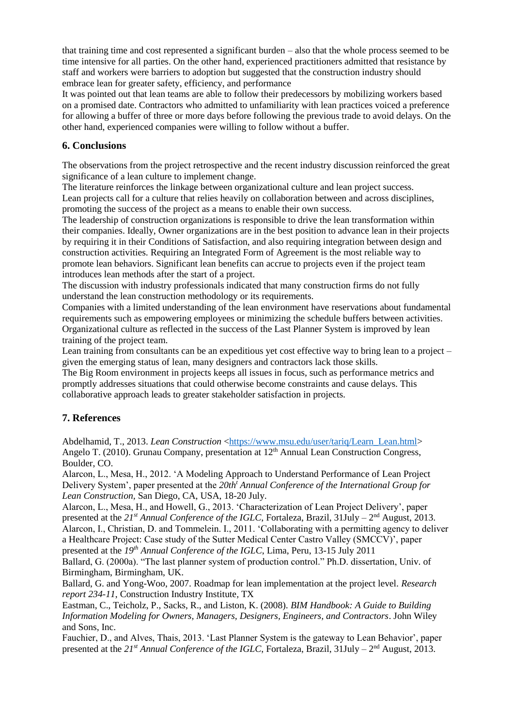that training time and cost represented a significant burden – also that the whole process seemed to be time intensive for all parties. On the other hand, experienced practitioners admitted that resistance by staff and workers were barriers to adoption but suggested that the construction industry should embrace lean for greater safety, efficiency, and performance

It was pointed out that lean teams are able to follow their predecessors by mobilizing workers based on a promised date. Contractors who admitted to unfamiliarity with lean practices voiced a preference for allowing a buffer of three or more days before following the previous trade to avoid delays. On the other hand, experienced companies were willing to follow without a buffer.

## **6. Conclusions**

The observations from the project retrospective and the recent industry discussion reinforced the great significance of a lean culture to implement change.

The literature reinforces the linkage between organizational culture and lean project success. Lean projects call for a culture that relies heavily on collaboration between and across disciplines, promoting the success of the project as a means to enable their own success.

The leadership of construction organizations is responsible to drive the lean transformation within their companies. Ideally, Owner organizations are in the best position to advance lean in their projects by requiring it in their Conditions of Satisfaction, and also requiring integration between design and construction activities. Requiring an Integrated Form of Agreement is the most reliable way to promote lean behaviors. Significant lean benefits can accrue to projects even if the project team introduces lean methods after the start of a project.

The discussion with industry professionals indicated that many construction firms do not fully understand the lean construction methodology or its requirements.

Companies with a limited understanding of the lean environment have reservations about fundamental requirements such as empowering employees or minimizing the schedule buffers between activities. Organizational culture as reflected in the success of the Last Planner System is improved by lean training of the project team.

Lean training from consultants can be an expeditious yet cost effective way to bring lean to a project – given the emerging status of lean, many designers and contractors lack those skills.

The Big Room environment in projects keeps all issues in focus, such as performance metrics and promptly addresses situations that could otherwise become constraints and cause delays. This collaborative approach leads to greater stakeholder satisfaction in projects.

## **7. References**

Abdelhamid, T., 2013. *Lean Construction* [<https://www.msu.edu/user/tariq/Learn\\_Lean.html>](https://www.msu.edu/user/tariq/Learn_Lean.html) Angelo T. (2010). Grunau Company, presentation at 12<sup>th</sup> Annual Lean Construction Congress, Boulder, CO.

Alarcon, L., Mesa, H., 2012. 'A Modeling Approach to Understand Performance of Lean Project Delivery System', paper presented at the *20th<sup>t</sup> Annual Conference of the International Group for Lean Construction,* San Diego, CA, USA, 18-20 July.

Alarcon, L., Mesa, H., and Howell, G., 2013. 'Characterization of Lean Project Delivery', paper presented at the *21st Annual Conference of the IGLC*, Fortaleza, Brazil, 31July – 2 nd August, 2013. Alarcon, I., Christian, D. and Tommelein. I., 2011. 'Collaborating with a permitting agency to deliver a Healthcare Project: Case study of the Sutter Medical Center Castro Valley (SMCCV)', paper

presented at the *19th Annual Conference of the IGLC*, Lima, Peru, 13-15 July 2011

Ballard, G. (2000a). "The last planner system of production control." Ph.D. dissertation, Univ. of Birmingham, Birmingham, UK.

Ballard, G. and Yong-Woo, 2007. Roadmap for lean implementation at the project level. *Research report 234-11*, Construction Industry Institute*,* TX

Eastman, C., Teicholz, P., Sacks, R., and Liston, K. (2008). *BIM Handbook: A Guide to Building Information Modeling for Owners, Managers, Designers, Engineers, and Contractors*. John Wiley and Sons, Inc.

Fauchier, D., and Alves, Thais, 2013. 'Last Planner System is the gateway to Lean Behavior', paper presented at the *21st Annual Conference of the IGLC*, Fortaleza, Brazil, 31July – 2 nd August, 2013.